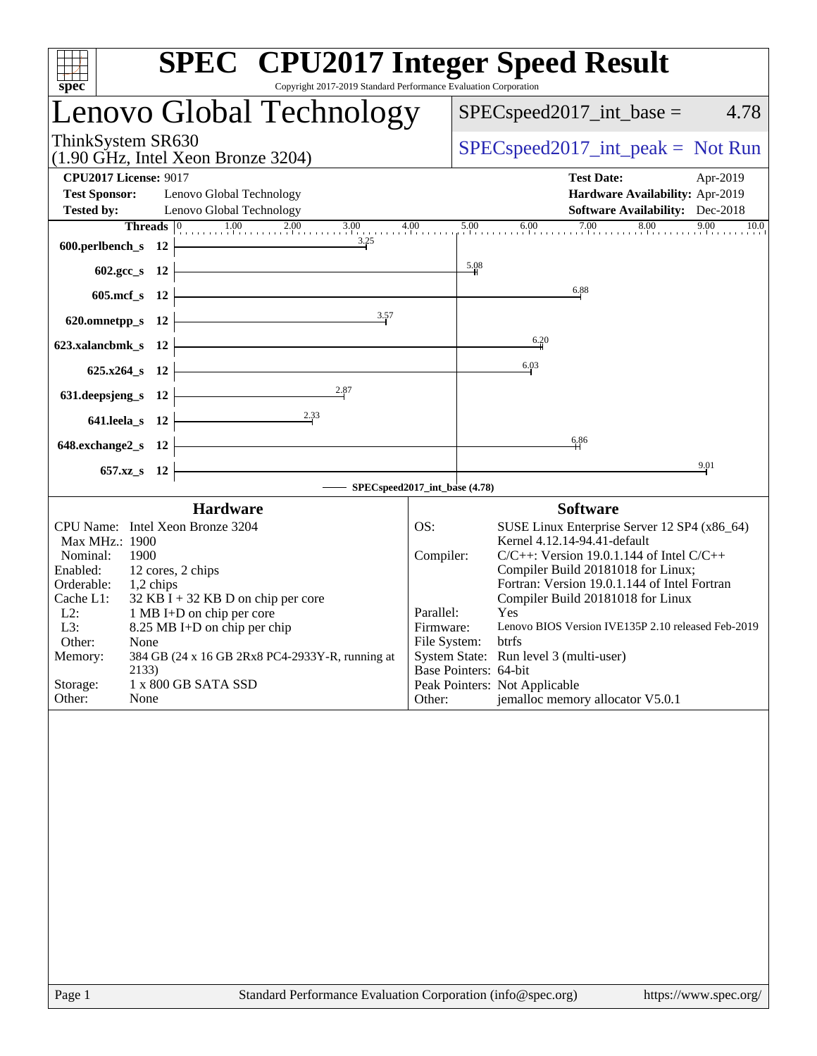| <b>SPEC<sup>®</sup></b> CPU2017 Integer Speed Result<br>spec<br>Copyright 2017-2019 Standard Performance Evaluation Corporation                                                                                                                                                                                                                                                                                     |                                                                                                     |         |                                                                                                                                                                                                                                                                                                                                                                                                                                      |
|---------------------------------------------------------------------------------------------------------------------------------------------------------------------------------------------------------------------------------------------------------------------------------------------------------------------------------------------------------------------------------------------------------------------|-----------------------------------------------------------------------------------------------------|---------|--------------------------------------------------------------------------------------------------------------------------------------------------------------------------------------------------------------------------------------------------------------------------------------------------------------------------------------------------------------------------------------------------------------------------------------|
| Lenovo Global Technology                                                                                                                                                                                                                                                                                                                                                                                            |                                                                                                     |         | $SPEC speed2017\_int\_base =$<br>4.78                                                                                                                                                                                                                                                                                                                                                                                                |
| ThinkSystem SR630<br>$(1.90 \text{ GHz}, \text{Intel Xeon Bronze } 3204)$                                                                                                                                                                                                                                                                                                                                           |                                                                                                     |         | $SPEC speed2017\_int\_peak = Not Run$                                                                                                                                                                                                                                                                                                                                                                                                |
| <b>CPU2017 License: 9017</b>                                                                                                                                                                                                                                                                                                                                                                                        |                                                                                                     |         | <b>Test Date:</b><br>Apr-2019                                                                                                                                                                                                                                                                                                                                                                                                        |
| <b>Test Sponsor:</b><br>Lenovo Global Technology                                                                                                                                                                                                                                                                                                                                                                    |                                                                                                     |         | Hardware Availability: Apr-2019                                                                                                                                                                                                                                                                                                                                                                                                      |
| <b>Tested by:</b><br>Lenovo Global Technology                                                                                                                                                                                                                                                                                                                                                                       |                                                                                                     | 5.00    | Software Availability: Dec-2018<br>10.0                                                                                                                                                                                                                                                                                                                                                                                              |
| <b>Threads</b> $\begin{bmatrix} 0 & 1.00 & 2.00 & 3.00 & 4.00 \\ 0 & 0 & 0 & 0 & 0 \\ 0 & 0 & 0 & 0 & 0 \\ 0 & 0 & 0 & 0 & 0 \\ 0 & 0 & 0 & 0 & 0 \\ 0 & 0 & 0 & 0 & 0 \\ 0 & 0 & 0 & 0 & 0 \\ 0 & 0 & 0 & 0 & 0 \\ 0 & 0 & 0 & 0 & 0 \\ 0 & 0 & 0 & 0 & 0 \\ 0 & 0 & 0 & 0 & 0 & 0 \\ 0 & 0 & 0 & 0 & 0 & 0 \\ 0 & 0 &$<br>3.25<br>600.perlbench_s 12                                                              |                                                                                                     |         | $7.00$ $8.00$ $9.00$<br>6.00                                                                                                                                                                                                                                                                                                                                                                                                         |
| $602.\text{sec}\_\text{S}$ 12                                                                                                                                                                                                                                                                                                                                                                                       |                                                                                                     | $-5.08$ |                                                                                                                                                                                                                                                                                                                                                                                                                                      |
| 605.mcf $s$ 12                                                                                                                                                                                                                                                                                                                                                                                                      |                                                                                                     |         | 6.88                                                                                                                                                                                                                                                                                                                                                                                                                                 |
| 3.57<br>620.omnetpp_s $12$                                                                                                                                                                                                                                                                                                                                                                                          |                                                                                                     |         |                                                                                                                                                                                                                                                                                                                                                                                                                                      |
| 623.xalancbmk_s 12                                                                                                                                                                                                                                                                                                                                                                                                  |                                                                                                     |         | 6.20                                                                                                                                                                                                                                                                                                                                                                                                                                 |
| $625.x264_s 12$                                                                                                                                                                                                                                                                                                                                                                                                     |                                                                                                     |         | 6.03                                                                                                                                                                                                                                                                                                                                                                                                                                 |
| 2.87<br>631.deepsjeng_s 12                                                                                                                                                                                                                                                                                                                                                                                          |                                                                                                     |         |                                                                                                                                                                                                                                                                                                                                                                                                                                      |
| 2.33<br>$641.$ leela_s 12                                                                                                                                                                                                                                                                                                                                                                                           |                                                                                                     |         |                                                                                                                                                                                                                                                                                                                                                                                                                                      |
| <u> 1989 - Johann Barbara, martxa alemaniar a</u><br>648.exchange $2$ <sub>_S</sub> 12                                                                                                                                                                                                                                                                                                                              |                                                                                                     |         | 6.86                                                                                                                                                                                                                                                                                                                                                                                                                                 |
| 657.xz_s 12                                                                                                                                                                                                                                                                                                                                                                                                         |                                                                                                     |         | 9.01                                                                                                                                                                                                                                                                                                                                                                                                                                 |
| SPECspeed2017_int_base (4.78)                                                                                                                                                                                                                                                                                                                                                                                       |                                                                                                     |         |                                                                                                                                                                                                                                                                                                                                                                                                                                      |
| <b>Hardware</b>                                                                                                                                                                                                                                                                                                                                                                                                     |                                                                                                     |         | <b>Software</b>                                                                                                                                                                                                                                                                                                                                                                                                                      |
| CPU Name: Intel Xeon Bronze 3204<br>Max MHz.: 1900<br>Nominal:<br>1900<br>Enabled:<br>12 cores, 2 chips<br>Orderable:<br>1,2 chips<br>$32$ KB I + 32 KB D on chip per core<br>Cache L1:<br>$L2$ :<br>1 MB I+D on chip per core<br>8.25 MB I+D on chip per chip<br>L3:<br>Other:<br>None<br>384 GB (24 x 16 GB 2Rx8 PC4-2933Y-R, running at<br>Memory:<br>2133)<br>Storage:<br>1 x 800 GB SATA SSD<br>Other:<br>None | OS:<br>Compiler:<br>Parallel:<br>Firmware:<br>File System: btrfs<br>Base Pointers: 64-bit<br>Other: |         | SUSE Linux Enterprise Server 12 SP4 (x86_64)<br>Kernel 4.12.14-94.41-default<br>$C/C++$ : Version 19.0.1.144 of Intel $C/C++$<br>Compiler Build 20181018 for Linux;<br>Fortran: Version 19.0.1.144 of Intel Fortran<br>Compiler Build 20181018 for Linux<br>Yes<br>Lenovo BIOS Version IVE135P 2.10 released Feb-2019<br>System State: Run level 3 (multi-user)<br>Peak Pointers: Not Applicable<br>jemalloc memory allocator V5.0.1 |
|                                                                                                                                                                                                                                                                                                                                                                                                                     |                                                                                                     |         |                                                                                                                                                                                                                                                                                                                                                                                                                                      |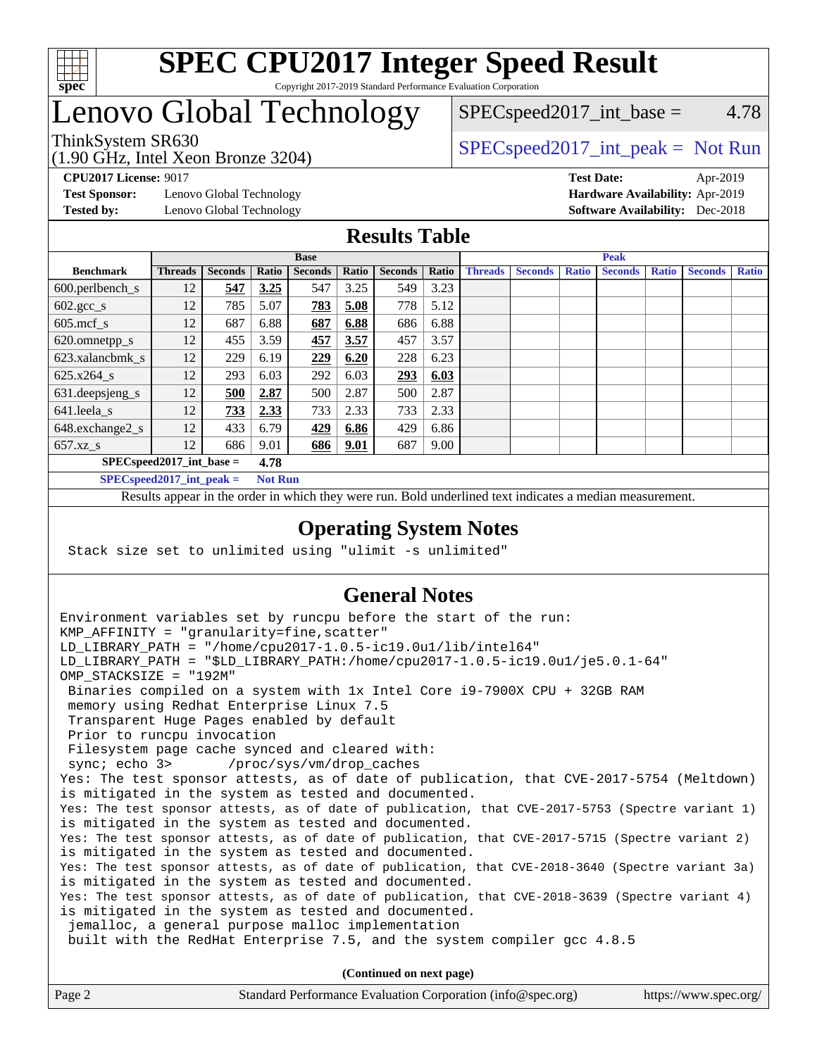

# Lenovo Global Technology

(1.90 GHz, Intel Xeon Bronze 3204)

 $SPEC speed2017\_int\_base = 4.78$ 

## ThinkSystem SR630  $SPEC speed2017\_int\_peak = Not Run$

**[Test Sponsor:](http://www.spec.org/auto/cpu2017/Docs/result-fields.html#TestSponsor)** Lenovo Global Technology **[Hardware Availability:](http://www.spec.org/auto/cpu2017/Docs/result-fields.html#HardwareAvailability)** Apr-2019 **[Tested by:](http://www.spec.org/auto/cpu2017/Docs/result-fields.html#Testedby)** Lenovo Global Technology **[Software Availability:](http://www.spec.org/auto/cpu2017/Docs/result-fields.html#SoftwareAvailability)** Dec-2018

**[CPU2017 License:](http://www.spec.org/auto/cpu2017/Docs/result-fields.html#CPU2017License)** 9017 **[Test Date:](http://www.spec.org/auto/cpu2017/Docs/result-fields.html#TestDate)** Apr-2019

#### **[Results Table](http://www.spec.org/auto/cpu2017/Docs/result-fields.html#ResultsTable)**

|                                    | <b>Base</b>    |                |                         |                |       | <b>Peak</b>    |       |                |                |              |                |              |                |              |
|------------------------------------|----------------|----------------|-------------------------|----------------|-------|----------------|-------|----------------|----------------|--------------|----------------|--------------|----------------|--------------|
| <b>Benchmark</b>                   | <b>Threads</b> | <b>Seconds</b> | Ratio                   | <b>Seconds</b> | Ratio | <b>Seconds</b> | Ratio | <b>Threads</b> | <b>Seconds</b> | <b>Ratio</b> | <b>Seconds</b> | <b>Ratio</b> | <b>Seconds</b> | <b>Ratio</b> |
| $600.$ perlbench $\mathsf{S}$      | 12             | 547            | 3.25                    | 547            | 3.25  | 549            | 3.23  |                |                |              |                |              |                |              |
| $602.\text{gcc}\_\text{s}$         | 12             | 785            | 5.07                    | 783            | 5.08  | 778            | 5.12  |                |                |              |                |              |                |              |
| $605$ .mcf s                       | 12             | 687            | 6.88                    | 687            | 6.88  | 686            | 6.88  |                |                |              |                |              |                |              |
| 620.omnetpp_s                      | 12             | 455            | 3.59                    | 457            | 3.57  | 457            | 3.57  |                |                |              |                |              |                |              |
| 623.xalancbmk s                    | 12             | 229            | 6.19                    | 229            | 6.20  | 228            | 6.23  |                |                |              |                |              |                |              |
| $625.x264$ s                       | 12             | 293            | 6.03                    | 292            | 6.03  | 293            | 6.03  |                |                |              |                |              |                |              |
| 631.deepsjeng_s                    | 12             | 500            | 2.87                    | 500            | 2.87  | 500            | 2.87  |                |                |              |                |              |                |              |
| 641.leela s                        | 12             | 733            | 2.33                    | 733            | 2.33  | 733            | 2.33  |                |                |              |                |              |                |              |
| 648.exchange2_s                    | 12             | 433            | 6.79                    | 429            | 6.86  | 429            | 6.86  |                |                |              |                |              |                |              |
| $657.xz$ s                         | 12             | 686            | 9.01                    | 686            | 9.01  | 687            | 9.00  |                |                |              |                |              |                |              |
| $SPECspeed2017$ int base =<br>4.78 |                |                |                         |                |       |                |       |                |                |              |                |              |                |              |
| $CDFC_{cmod}$ $2017$ int nook -    |                |                | $Nof$ D <sub>1111</sub> |                |       |                |       |                |                |              |                |              |                |              |

**[SPECspeed2017\\_int\\_peak =](http://www.spec.org/auto/cpu2017/Docs/result-fields.html#SPECspeed2017intpeak) Not Run**

Results appear in the [order in which they were run.](http://www.spec.org/auto/cpu2017/Docs/result-fields.html#RunOrder) Bold underlined text [indicates a median measurement.](http://www.spec.org/auto/cpu2017/Docs/result-fields.html#Median)

#### **[Operating System Notes](http://www.spec.org/auto/cpu2017/Docs/result-fields.html#OperatingSystemNotes)**

Stack size set to unlimited using "ulimit -s unlimited"

#### **[General Notes](http://www.spec.org/auto/cpu2017/Docs/result-fields.html#GeneralNotes)**

Environment variables set by runcpu before the start of the run: KMP\_AFFINITY = "granularity=fine,scatter" LD\_LIBRARY\_PATH = "/home/cpu2017-1.0.5-ic19.0u1/lib/intel64" LD\_LIBRARY\_PATH = "\$LD\_LIBRARY\_PATH:/home/cpu2017-1.0.5-ic19.0u1/je5.0.1-64" OMP\_STACKSIZE = "192M" Binaries compiled on a system with 1x Intel Core i9-7900X CPU + 32GB RAM memory using Redhat Enterprise Linux 7.5 Transparent Huge Pages enabled by default Prior to runcpu invocation Filesystem page cache synced and cleared with: sync; echo 3> /proc/sys/vm/drop\_caches Yes: The test sponsor attests, as of date of publication, that CVE-2017-5754 (Meltdown) is mitigated in the system as tested and documented. Yes: The test sponsor attests, as of date of publication, that CVE-2017-5753 (Spectre variant 1) is mitigated in the system as tested and documented. Yes: The test sponsor attests, as of date of publication, that CVE-2017-5715 (Spectre variant 2) is mitigated in the system as tested and documented. Yes: The test sponsor attests, as of date of publication, that CVE-2018-3640 (Spectre variant 3a) is mitigated in the system as tested and documented. Yes: The test sponsor attests, as of date of publication, that CVE-2018-3639 (Spectre variant 4) is mitigated in the system as tested and documented. jemalloc, a general purpose malloc implementation built with the RedHat Enterprise 7.5, and the system compiler gcc 4.8.5 **(Continued on next page)**

| Page 2<br>Standard Performance Evaluation Corporation (info@spec.org) | https://www.spec.org/ |
|-----------------------------------------------------------------------|-----------------------|
|-----------------------------------------------------------------------|-----------------------|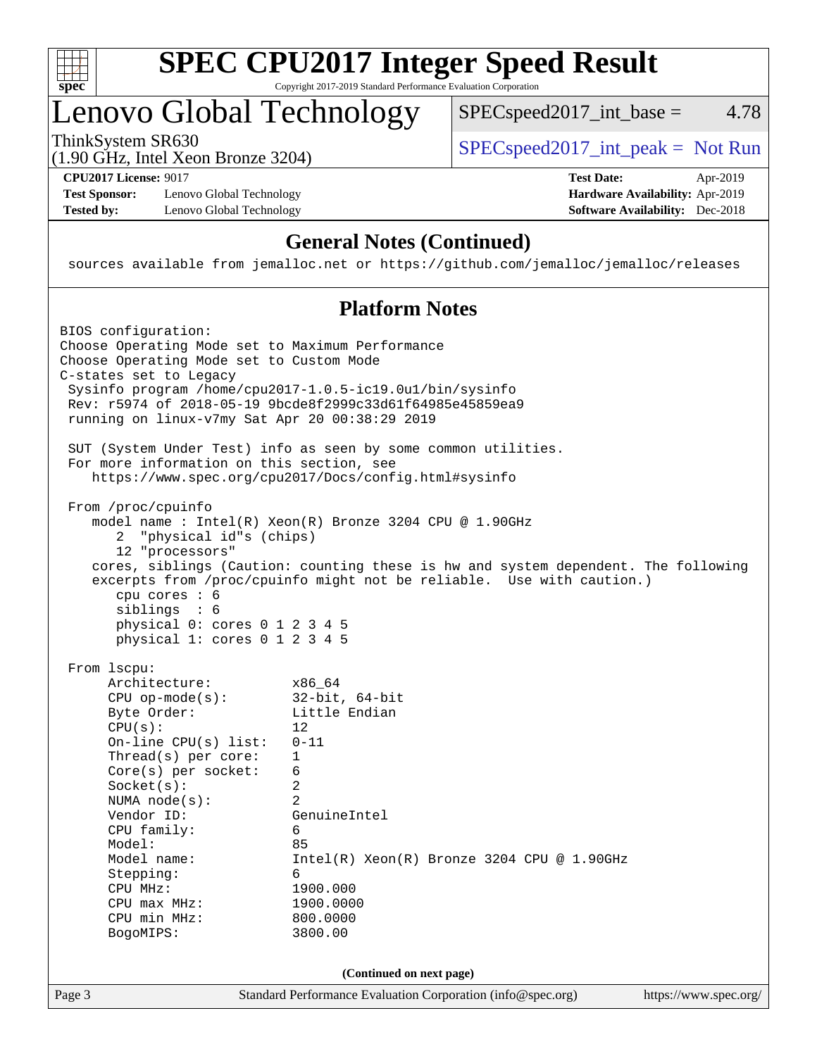

## Lenovo Global Technology

ThinkSystem SR630  $SPEC speed2017\_int\_peak = Not Run$ 

 $SPEC speed2017\_int\_base = 4.78$ 

(1.90 GHz, Intel Xeon Bronze 3204)

**[Test Sponsor:](http://www.spec.org/auto/cpu2017/Docs/result-fields.html#TestSponsor)** Lenovo Global Technology **[Hardware Availability:](http://www.spec.org/auto/cpu2017/Docs/result-fields.html#HardwareAvailability)** Apr-2019 **[Tested by:](http://www.spec.org/auto/cpu2017/Docs/result-fields.html#Testedby)** Lenovo Global Technology **[Software Availability:](http://www.spec.org/auto/cpu2017/Docs/result-fields.html#SoftwareAvailability)** Dec-2018

**[CPU2017 License:](http://www.spec.org/auto/cpu2017/Docs/result-fields.html#CPU2017License)** 9017 **[Test Date:](http://www.spec.org/auto/cpu2017/Docs/result-fields.html#TestDate)** Apr-2019

### **[General Notes \(Continued\)](http://www.spec.org/auto/cpu2017/Docs/result-fields.html#GeneralNotes)**

sources available from jemalloc.net or <https://github.com/jemalloc/jemalloc/releases>

#### **[Platform Notes](http://www.spec.org/auto/cpu2017/Docs/result-fields.html#PlatformNotes)**

```
Page 3 Standard Performance Evaluation Corporation (info@spec.org) https://www.spec.org/
BIOS configuration:
Choose Operating Mode set to Maximum Performance
Choose Operating Mode set to Custom Mode
C-states set to Legacy
  Sysinfo program /home/cpu2017-1.0.5-ic19.0u1/bin/sysinfo
  Rev: r5974 of 2018-05-19 9bcde8f2999c33d61f64985e45859ea9
  running on linux-v7my Sat Apr 20 00:38:29 2019
  SUT (System Under Test) info as seen by some common utilities.
  For more information on this section, see
     https://www.spec.org/cpu2017/Docs/config.html#sysinfo
  From /proc/cpuinfo
     model name : Intel(R) Xeon(R) Bronze 3204 CPU @ 1.90GHz
       2 "physical id"s (chips)
       12 "processors"
     cores, siblings (Caution: counting these is hw and system dependent. The following
     excerpts from /proc/cpuinfo might not be reliable. Use with caution.)
       cpu cores : 6
       siblings : 6
       physical 0: cores 0 1 2 3 4 5
       physical 1: cores 0 1 2 3 4 5
  From lscpu:
      Architecture: x86_64
      CPU op-mode(s): 32-bit, 64-bit
     Byte Order: Little Endian
     CPU(s): 12
       On-line CPU(s) list: 0-11
     Thread(s) per core: 1
      Core(s) per socket: 6
      Socket(s): 2
      NUMA node(s): 2
      Vendor ID: GenuineIntel
       CPU family: 6
      Model: 85
     Model name: Intel(R) Xeon(R) Bronze 3204 CPU @ 1.90GHz
      Stepping: 6
      CPU MHz: 1900.000
       CPU max MHz: 1900.0000
       CPU min MHz: 800.0000
       BogoMIPS: 3800.00
                                (Continued on next page)
```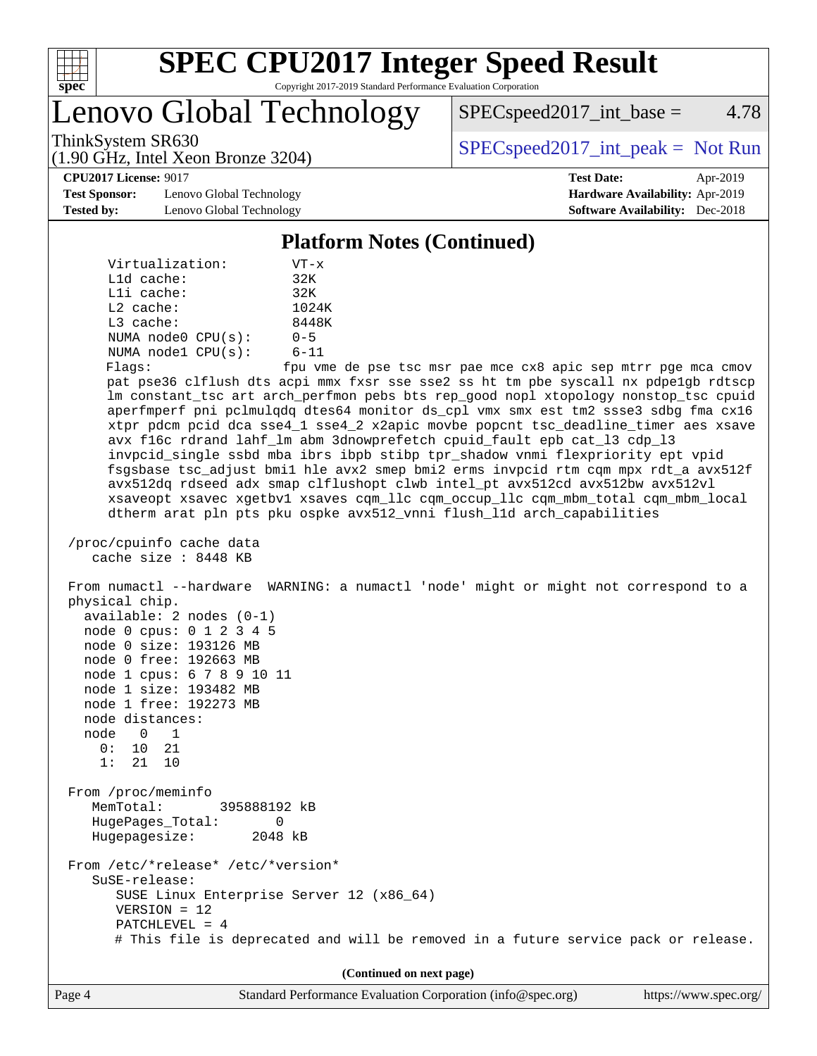

Lenovo Global Technology

 $SPEC speed2017\_int\_base = 4.78$ 

(1.90 GHz, Intel Xeon Bronze 3204)

ThinkSystem SR630  $SPEC speed2017\_int\_peak = Not Run$ 

**[Test Sponsor:](http://www.spec.org/auto/cpu2017/Docs/result-fields.html#TestSponsor)** Lenovo Global Technology **[Hardware Availability:](http://www.spec.org/auto/cpu2017/Docs/result-fields.html#HardwareAvailability)** Apr-2019 **[Tested by:](http://www.spec.org/auto/cpu2017/Docs/result-fields.html#Testedby)** Lenovo Global Technology **[Software Availability:](http://www.spec.org/auto/cpu2017/Docs/result-fields.html#SoftwareAvailability)** Dec-2018

**[CPU2017 License:](http://www.spec.org/auto/cpu2017/Docs/result-fields.html#CPU2017License)** 9017 **[Test Date:](http://www.spec.org/auto/cpu2017/Docs/result-fields.html#TestDate)** Apr-2019

#### **[Platform Notes \(Continued\)](http://www.spec.org/auto/cpu2017/Docs/result-fields.html#PlatformNotes)**

| Virtualization:         | $VT - x$   |
|-------------------------|------------|
| $L1d$ cache:            | 32K        |
| $L1i$ cache:            | 32K        |
| $L2$ cache:             | 1024K      |
| $L3$ cache:             | 8448K      |
| NUMA $node0$ $CPU(s)$ : | $0 - 5$    |
| NUMA $node1$ $CPU(s)$ : | $6 - 11$   |
|                         | Engel 2000 |

Flags: fpu vme de pse tsc msr pae mce cx8 apic sep mtrr pge mca cmov pat pse36 clflush dts acpi mmx fxsr sse sse2 ss ht tm pbe syscall nx pdpe1gb rdtscp lm constant\_tsc art arch\_perfmon pebs bts rep\_good nopl xtopology nonstop\_tsc cpuid aperfmperf pni pclmulqdq dtes64 monitor ds\_cpl vmx smx est tm2 ssse3 sdbg fma cx16 xtpr pdcm pcid dca sse4\_1 sse4\_2 x2apic movbe popcnt tsc\_deadline\_timer aes xsave avx f16c rdrand lahf\_lm abm 3dnowprefetch cpuid\_fault epb cat\_l3 cdp\_l3 invpcid\_single ssbd mba ibrs ibpb stibp tpr\_shadow vnmi flexpriority ept vpid fsgsbase tsc\_adjust bmi1 hle avx2 smep bmi2 erms invpcid rtm cqm mpx rdt\_a avx512f avx512dq rdseed adx smap clflushopt clwb intel\_pt avx512cd avx512bw avx512vl xsaveopt xsavec xgetbv1 xsaves cqm\_llc cqm\_occup\_llc cqm\_mbm\_total cqm\_mbm\_local dtherm arat pln pts pku ospke avx512\_vnni flush\_l1d arch\_capabilities

```
 /proc/cpuinfo cache data
    cache size : 8448 KB
```
 From numactl --hardware WARNING: a numactl 'node' might or might not correspond to a physical chip. available: 2 nodes (0-1) node 0 cpus: 0 1 2 3 4 5 node 0 size: 193126 MB node 0 free: 192663 MB node 1 cpus: 6 7 8 9 10 11 node 1 size: 193482 MB node 1 free: 192273 MB node distances: node 0 1 0: 10 21 1: 21 10 From /proc/meminfo MemTotal: 395888192 kB HugePages\_Total: 0 Hugepagesize: 2048 kB From /etc/\*release\* /etc/\*version\* SuSE-release: SUSE Linux Enterprise Server 12 (x86\_64) VERSION = 12 PATCHLEVEL = 4

# This file is deprecated and will be removed in a future service pack or release.

**(Continued on next page)**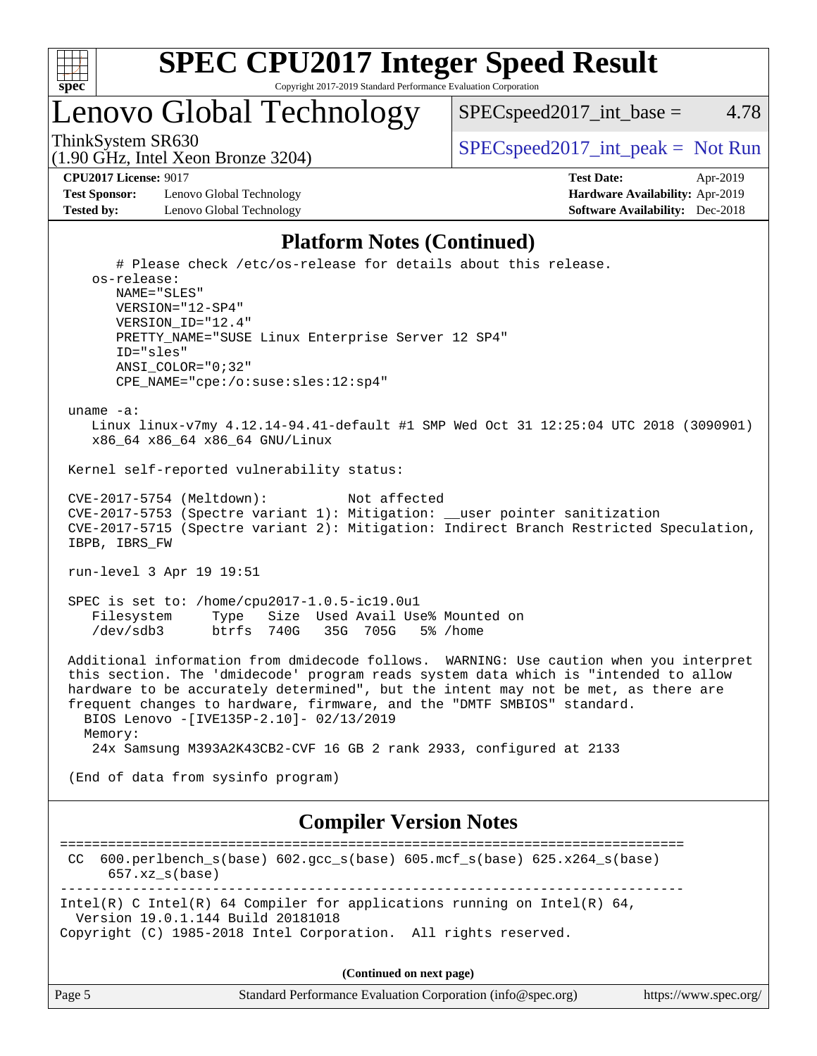

## Lenovo Global Technology

 $SPEC speed2017\_int\_base = 4.78$ 

(1.90 GHz, Intel Xeon Bronze 3204)

ThinkSystem SR630  $SPEC speed2017\_int\_peak = Not Run$ 

**[Test Sponsor:](http://www.spec.org/auto/cpu2017/Docs/result-fields.html#TestSponsor)** Lenovo Global Technology **[Hardware Availability:](http://www.spec.org/auto/cpu2017/Docs/result-fields.html#HardwareAvailability)** Apr-2019 **[Tested by:](http://www.spec.org/auto/cpu2017/Docs/result-fields.html#Testedby)** Lenovo Global Technology **[Software Availability:](http://www.spec.org/auto/cpu2017/Docs/result-fields.html#SoftwareAvailability)** Dec-2018

**[CPU2017 License:](http://www.spec.org/auto/cpu2017/Docs/result-fields.html#CPU2017License)** 9017 **[Test Date:](http://www.spec.org/auto/cpu2017/Docs/result-fields.html#TestDate)** Apr-2019

#### **[Platform Notes \(Continued\)](http://www.spec.org/auto/cpu2017/Docs/result-fields.html#PlatformNotes)**

```
 # Please check /etc/os-release for details about this release.
     os-release:
        NAME="SLES"
        VERSION="12-SP4"
        VERSION_ID="12.4"
        PRETTY_NAME="SUSE Linux Enterprise Server 12 SP4"
        ID="sles"
        ANSI_COLOR="0;32"
        CPE_NAME="cpe:/o:suse:sles:12:sp4"
  uname -a:
     Linux linux-v7my 4.12.14-94.41-default #1 SMP Wed Oct 31 12:25:04 UTC 2018 (3090901)
     x86_64 x86_64 x86_64 GNU/Linux
 Kernel self-reported vulnerability status:
  CVE-2017-5754 (Meltdown): Not affected
 CVE-2017-5753 (Spectre variant 1): Mitigation: __user pointer sanitization
  CVE-2017-5715 (Spectre variant 2): Mitigation: Indirect Branch Restricted Speculation,
  IBPB, IBRS_FW
 run-level 3 Apr 19 19:51
  SPEC is set to: /home/cpu2017-1.0.5-ic19.0u1
     Filesystem Type Size Used Avail Use% Mounted on
     /dev/sdb3 btrfs 740G 35G 705G 5% /home
 Additional information from dmidecode follows. WARNING: Use caution when you interpret
  this section. The 'dmidecode' program reads system data which is "intended to allow
 hardware to be accurately determined", but the intent may not be met, as there are
 frequent changes to hardware, firmware, and the "DMTF SMBIOS" standard.
   BIOS Lenovo -[IVE135P-2.10]- 02/13/2019
   Memory:
     24x Samsung M393A2K43CB2-CVF 16 GB 2 rank 2933, configured at 2133
  (End of data from sysinfo program)
                               Compiler Version Notes
==============================================================================
 CC 600.perlbench_s(base) 602.gcc_s(base) 605.mcf_s(base) 625.x264_s(base)
      657.xz_s(base)
                               ------------------------------------------------------------------------------
Intel(R) C Intel(R) 64 Compiler for applications running on Intel(R) 64,
  Version 19.0.1.144 Build 20181018
Copyright (C) 1985-2018 Intel Corporation. All rights reserved.
                                    (Continued on next page)
```
Page 5 Standard Performance Evaluation Corporation [\(info@spec.org\)](mailto:info@spec.org) <https://www.spec.org/>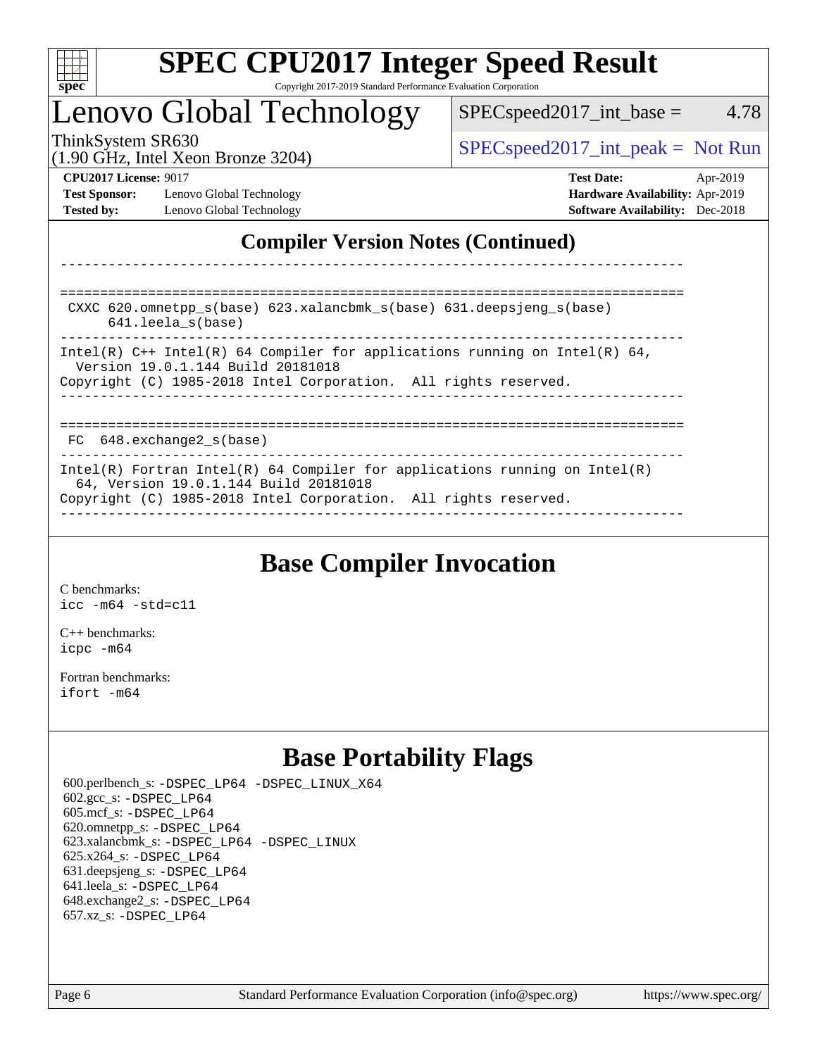

## Lenovo Global Technology

ThinkSystem SR630  $SPEC speed2017\_int\_peak = Not Run$ 

 $SPEC speed2017\_int\_base = 4.78$ 

(1.90 GHz, Intel Xeon Bronze 3204)

**[Test Sponsor:](http://www.spec.org/auto/cpu2017/Docs/result-fields.html#TestSponsor)** Lenovo Global Technology **[Hardware Availability:](http://www.spec.org/auto/cpu2017/Docs/result-fields.html#HardwareAvailability)** Apr-2019 **[Tested by:](http://www.spec.org/auto/cpu2017/Docs/result-fields.html#Testedby)** Lenovo Global Technology **[Software Availability:](http://www.spec.org/auto/cpu2017/Docs/result-fields.html#SoftwareAvailability)** Dec-2018

**[CPU2017 License:](http://www.spec.org/auto/cpu2017/Docs/result-fields.html#CPU2017License)** 9017 **[Test Date:](http://www.spec.org/auto/cpu2017/Docs/result-fields.html#TestDate)** Apr-2019

### **[Compiler Version Notes \(Continued\)](http://www.spec.org/auto/cpu2017/Docs/result-fields.html#CompilerVersionNotes)**

============================================================================== CXXC 620.omnetpp\_s(base) 623.xalancbmk\_s(base) 631.deepsjeng\_s(base) 641.leela\_s(base) ------------------------------------------------------------------------------ Intel(R)  $C_{++}$  Intel(R) 64 Compiler for applications running on Intel(R) 64, Version 19.0.1.144 Build 20181018 Copyright (C) 1985-2018 Intel Corporation. All rights reserved. ------------------------------------------------------------------------------ ============================================================================== FC 648.exchange2 s(base) ------------------------------------------------------------------------------ Intel(R) Fortran Intel(R) 64 Compiler for applications running on Intel(R) 64, Version 19.0.1.144 Build 20181018 Copyright (C) 1985-2018 Intel Corporation. All rights reserved. ------------------------------------------------------------------------------

------------------------------------------------------------------------------

## **[Base Compiler Invocation](http://www.spec.org/auto/cpu2017/Docs/result-fields.html#BaseCompilerInvocation)**

[C benchmarks](http://www.spec.org/auto/cpu2017/Docs/result-fields.html#Cbenchmarks): [icc -m64 -std=c11](http://www.spec.org/cpu2017/results/res2019q2/cpu2017-20190429-12917.flags.html#user_CCbase_intel_icc_64bit_c11_33ee0cdaae7deeeab2a9725423ba97205ce30f63b9926c2519791662299b76a0318f32ddfffdc46587804de3178b4f9328c46fa7c2b0cd779d7a61945c91cd35)

[C++ benchmarks:](http://www.spec.org/auto/cpu2017/Docs/result-fields.html#CXXbenchmarks) [icpc -m64](http://www.spec.org/cpu2017/results/res2019q2/cpu2017-20190429-12917.flags.html#user_CXXbase_intel_icpc_64bit_4ecb2543ae3f1412ef961e0650ca070fec7b7afdcd6ed48761b84423119d1bf6bdf5cad15b44d48e7256388bc77273b966e5eb805aefd121eb22e9299b2ec9d9)

[Fortran benchmarks](http://www.spec.org/auto/cpu2017/Docs/result-fields.html#Fortranbenchmarks): [ifort -m64](http://www.spec.org/cpu2017/results/res2019q2/cpu2017-20190429-12917.flags.html#user_FCbase_intel_ifort_64bit_24f2bb282fbaeffd6157abe4f878425411749daecae9a33200eee2bee2fe76f3b89351d69a8130dd5949958ce389cf37ff59a95e7a40d588e8d3a57e0c3fd751)

## **[Base Portability Flags](http://www.spec.org/auto/cpu2017/Docs/result-fields.html#BasePortabilityFlags)**

 600.perlbench\_s: [-DSPEC\\_LP64](http://www.spec.org/cpu2017/results/res2019q2/cpu2017-20190429-12917.flags.html#b600.perlbench_s_basePORTABILITY_DSPEC_LP64) [-DSPEC\\_LINUX\\_X64](http://www.spec.org/cpu2017/results/res2019q2/cpu2017-20190429-12917.flags.html#b600.perlbench_s_baseCPORTABILITY_DSPEC_LINUX_X64) 602.gcc\_s: [-DSPEC\\_LP64](http://www.spec.org/cpu2017/results/res2019q2/cpu2017-20190429-12917.flags.html#suite_basePORTABILITY602_gcc_s_DSPEC_LP64) 605.mcf\_s: [-DSPEC\\_LP64](http://www.spec.org/cpu2017/results/res2019q2/cpu2017-20190429-12917.flags.html#suite_basePORTABILITY605_mcf_s_DSPEC_LP64) 620.omnetpp\_s: [-DSPEC\\_LP64](http://www.spec.org/cpu2017/results/res2019q2/cpu2017-20190429-12917.flags.html#suite_basePORTABILITY620_omnetpp_s_DSPEC_LP64) 623.xalancbmk\_s: [-DSPEC\\_LP64](http://www.spec.org/cpu2017/results/res2019q2/cpu2017-20190429-12917.flags.html#suite_basePORTABILITY623_xalancbmk_s_DSPEC_LP64) [-DSPEC\\_LINUX](http://www.spec.org/cpu2017/results/res2019q2/cpu2017-20190429-12917.flags.html#b623.xalancbmk_s_baseCXXPORTABILITY_DSPEC_LINUX) 625.x264\_s: [-DSPEC\\_LP64](http://www.spec.org/cpu2017/results/res2019q2/cpu2017-20190429-12917.flags.html#suite_basePORTABILITY625_x264_s_DSPEC_LP64) 631.deepsjeng\_s: [-DSPEC\\_LP64](http://www.spec.org/cpu2017/results/res2019q2/cpu2017-20190429-12917.flags.html#suite_basePORTABILITY631_deepsjeng_s_DSPEC_LP64) 641.leela\_s: [-DSPEC\\_LP64](http://www.spec.org/cpu2017/results/res2019q2/cpu2017-20190429-12917.flags.html#suite_basePORTABILITY641_leela_s_DSPEC_LP64) 648.exchange2\_s: [-DSPEC\\_LP64](http://www.spec.org/cpu2017/results/res2019q2/cpu2017-20190429-12917.flags.html#suite_basePORTABILITY648_exchange2_s_DSPEC_LP64) 657.xz\_s: [-DSPEC\\_LP64](http://www.spec.org/cpu2017/results/res2019q2/cpu2017-20190429-12917.flags.html#suite_basePORTABILITY657_xz_s_DSPEC_LP64)